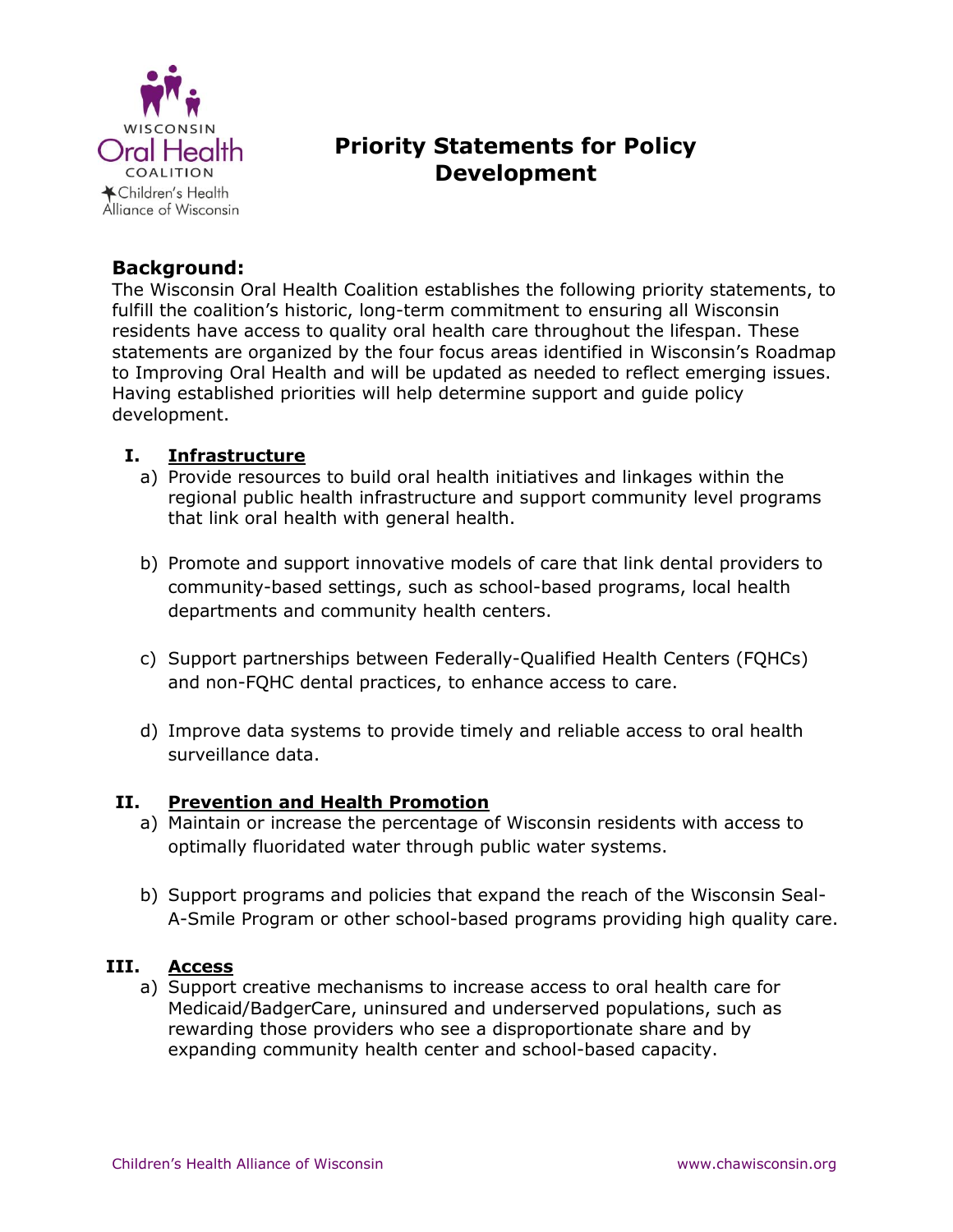

# **Priority Statements for Policy Development**

## **Background:**

The Wisconsin Oral Health Coalition establishes the following priority statements, to fulfill the coalition's historic, long-term commitment to ensuring all Wisconsin residents have access to quality oral health care throughout the lifespan. These statements are organized by the four focus areas identified in Wisconsin's Roadmap to Improving Oral Health and will be updated as needed to reflect emerging issues. Having established priorities will help determine support and guide policy development.

### **I. Infrastructure**

- a) Provide resources to build oral health initiatives and linkages within the regional public health infrastructure and support community level programs that link oral health with general health.
- b) Promote and support innovative models of care that link dental providers to community-based settings, such as school-based programs, local health departments and community health centers.
- c) Support partnerships between Federally-Qualified Health Centers (FQHCs) and non-FQHC dental practices, to enhance access to care.
- d) Improve data systems to provide timely and reliable access to oral health surveillance data.

### **II. Prevention and Health Promotion**

- a) Maintain or increase the percentage of Wisconsin residents with access to optimally fluoridated water through public water systems.
- b) Support programs and policies that expand the reach of the Wisconsin Seal-A-Smile Program or other school-based programs providing high quality care.

### **III. Access**

a) Support creative mechanisms to increase access to oral health care for Medicaid/BadgerCare, uninsured and underserved populations, such as rewarding those providers who see a disproportionate share and by expanding community health center and school-based capacity.